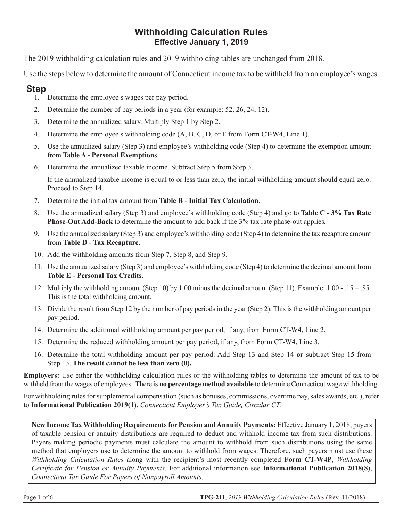#### **Withholding Calculation Rules Effective January 1, 2019**

The 2019 withholding calculation rules and 2019 withholding tables are unchanged from 2018.

Use the steps below to determine the amount of Connecticut income tax to be withheld from an employee's wages.

### **Step**

- 1. Determine the employee's wages per pay period.
- 2. Determine the number of pay periods in a year (for example: 52, 26, 24, 12).
- 3. Determine the annualized salary. Multiply Step 1 by Step 2.
- 4. Determine the employee's withholding code (A, B, C, D, or F from Form CT-W4, Line 1).
- 5. Use the annualized salary (Step 3) and employee's withholding code (Step 4) to determine the exemption amount from **Table A - Personal Exemptions**.
- 6. Determine the annualized taxable income. Subtract Step 5 from Step 3.

If the annualized taxable income is equal to or less than zero, the initial withholding amount should equal zero. Proceed to Step 14.

- 7. Determine the initial tax amount from **Table B Initial Tax Calculation**.
- 8. Use the annualized salary (Step 3) and employee's withholding code (Step 4) and go to **Table C 3% Tax Rate Phase-Out Add-Back** to determine the amount to add back if the 3% tax rate phase-out applies*.*
- 9. Use the annualized salary (Step 3) and employee's withholding code (Step 4) to determine the tax recapture amount from **Table D - Tax Recapture**.
- 10. Add the withholding amounts from Step 7, Step 8, and Step 9.
- 11. Use the annualized salary (Step 3) and employee's withholding code (Step 4) to determine the decimal amount from **Table E - Personal Tax Credits**.
- 12. Multiply the withholding amount (Step 10) by 1.00 minus the decimal amount (Step 11). Example: 1.00 .15 = .85. This is the total withholding amount.
- 13. Divide the result from Step 12 by the number of pay periods in the year (Step 2). This is the withholding amount per pay period.
- 14. Determine the additional withholding amount per pay period, if any, from Form CT-W4, Line 2.
- 15. Determine the reduced withholding amount per pay period, if any, from Form CT-W4, Line 3.
- 16. Determine the total withholding amount per pay period: Add Step 13 and Step 14 **or** subtract Step 15 from Step 13. **The result cannot be less than zero (0).**

**Employers:** Use either the withholding calculation rules or the withholding tables to determine the amount of tax to be withheld from the wages of employees. There is **no percentage method available** to determine Connecticut wage withholding.

For withholding rules for supplemental compensation (such as bonuses, commissions, overtime pay, sales awards, etc.), refer to **Informational Publication 2019(1)**, *Connecticut Employer's Tax Guide, Circular CT*.

**New Income Tax Withholding Requirements for Pension and Annuity Payments:** Effective January 1, 2018, payers of taxable pension or annuity distributions are required to deduct and withhold income tax from such distributions. Payers making periodic payments must calculate the amount to withhold from such distributions using the same method that employers use to determine the amount to withhold from wages. Therefore, such payers must use these *Withholding Calculation Rules* along with the recipient's most recently completed **Form CT-W4P**, *Withholding Certificate for Pension or Annuity Payments*. For additional information see **Informational Publication 2018(8)**, *Connecticut Tax Guide For Payers of Nonpayroll Amounts*.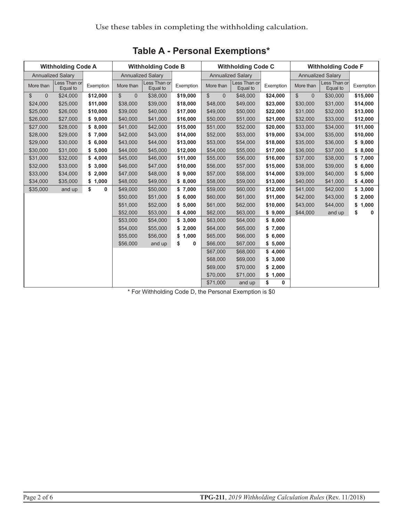| <b>Withholding Code A</b>     |                          |           | <b>Withholding Code B</b>     |                          |           | <b>Withholding Code C</b>    |                          |             | <b>Withholding Code F</b> |                          |           |
|-------------------------------|--------------------------|-----------|-------------------------------|--------------------------|-----------|------------------------------|--------------------------|-------------|---------------------------|--------------------------|-----------|
|                               | <b>Annualized Salary</b> |           |                               | <b>Annualized Salary</b> |           |                              | <b>Annualized Salary</b> |             |                           | <b>Annualized Salary</b> |           |
| More than                     | Less Than or<br>Equal to | Exemption | More than                     | Less Than or<br>Equal to | Exemption | More than                    | Less Than or<br>Equal to | Exemption   | More than                 | Less Than or<br>Equal to | Exemption |
| $\mathcal{S}$<br>$\mathbf{0}$ | \$24,000                 | \$12,000  | $\mathfrak{S}$<br>$\mathbf 0$ | \$38,000                 | \$19,000  | $\mathbb{S}$<br>$\mathbf{0}$ | \$48,000                 | \$24,000    | \$<br>$\mathbf{0}$        | \$30,000                 | \$15,000  |
| \$24,000                      | \$25,000                 | \$11,000  | \$38,000                      | \$39,000                 | \$18,000  | \$48,000                     | \$49,000                 | \$23,000    | \$30,000                  | \$31,000                 | \$14,000  |
| \$25,000                      | \$26,000                 | \$10,000  | \$39,000                      | \$40,000                 | \$17,000  | \$49,000                     | \$50,000                 | \$22,000    | \$31,000                  | \$32,000                 | \$13,000  |
| \$26,000                      | \$27,000                 | \$9,000   | \$40,000                      | \$41,000                 | \$16,000  | \$50,000                     | \$51,000                 | \$21,000    | \$32,000                  | \$33,000                 | \$12,000  |
| \$27,000                      | \$28,000                 | \$8,000   | \$41,000                      | \$42,000                 | \$15,000  | \$51,000                     | \$52,000                 | \$20,000    | \$33,000                  | \$34,000                 | \$11,000  |
| \$28,000                      | \$29,000                 | \$7,000   | \$42,000                      | \$43,000                 | \$14,000  | \$52,000                     | \$53,000                 | \$19,000    | \$34,000                  | \$35,000                 | \$10,000  |
| \$29,000                      | \$30,000                 | \$6,000   | \$43,000                      | \$44,000                 | \$13,000  | \$53,000                     | \$54,000                 | \$18,000    | \$35,000                  | \$36,000                 | \$9,000   |
| \$30,000                      | \$31,000                 | \$5,000   | \$44,000                      | \$45,000                 | \$12,000  | \$54,000                     | \$55,000                 | \$17,000    | \$36,000                  | \$37,000                 | \$8,000   |
| \$31,000                      | \$32,000                 | \$4,000   | \$45,000                      | \$46,000                 | \$11,000  | \$55,000                     | \$56,000                 | \$16,000    | \$37,000                  | \$38,000                 | \$7,000   |
| \$32,000                      | \$33,000                 | \$3,000   | \$46,000                      | \$47,000                 | \$10,000  | \$56,000                     | \$57,000                 | \$15,000    | \$38,000                  | \$39,000                 | \$6,000   |
| \$33,000                      | \$34,000                 | \$2,000   | \$47,000                      | \$48,000                 | \$9,000   | \$57,000                     | \$58,000                 | \$14,000    | \$39,000                  | \$40,000                 | \$5,000   |
| \$34,000                      | \$35,000                 | \$1,000   | \$48,000                      | \$49,000                 | \$8,000   | \$58,000                     | \$59,000                 | \$13,000    | \$40,000                  | \$41,000                 | \$4,000   |
| \$35,000                      | and up                   | \$<br>0   | \$49,000                      | \$50,000                 | \$7,000   | \$59,000                     | \$60,000                 | \$12,000    | \$41,000                  | \$42,000                 | \$3,000   |
|                               |                          |           | \$50,000                      | \$51,000                 | \$6,000   | \$60,000                     | \$61,000                 | \$11,000    | \$42,000                  | \$43,000                 | \$2,000   |
|                               |                          |           | \$51,000                      | \$52,000                 | \$5,000   | \$61,000                     | \$62,000                 | \$10,000    | \$43,000                  | \$44,000                 | \$1,000   |
|                               |                          |           | \$52,000                      | \$53,000                 | \$4,000   | \$62,000                     | \$63,000                 | \$9,000     | \$44,000                  | and up                   | \$<br>0   |
|                               |                          |           | \$53,000                      | \$54,000                 | \$3,000   | \$63,000                     | \$64,000                 | \$8,000     |                           |                          |           |
|                               |                          |           | \$54,000                      | \$55,000                 | \$2,000   | \$64,000                     | \$65,000                 | \$7,000     |                           |                          |           |
|                               |                          |           | \$55,000                      | \$56,000                 | \$1,000   | \$65,000                     | \$66,000                 | \$6,000     |                           |                          |           |
|                               |                          |           | \$56,000                      | and up                   | \$<br>0   | \$66,000                     | \$67,000                 | \$5,000     |                           |                          |           |
|                               |                          |           |                               |                          |           | \$67,000                     | \$68,000                 | \$4,000     |                           |                          |           |
|                               |                          |           |                               |                          |           | \$68,000                     | \$69,000                 | \$3,000     |                           |                          |           |
|                               |                          |           |                               |                          |           | \$69,000                     | \$70,000                 | \$2,000     |                           |                          |           |
|                               |                          |           |                               |                          |           | \$70,000                     | \$71,000                 | \$<br>1,000 |                           |                          |           |
|                               |                          |           |                               |                          |           | \$71,000                     | and up                   | \$<br>0     |                           |                          |           |

**Table A - Personal Exemptions\***

\* For Withholding Code D, the Personal Exemption is \$0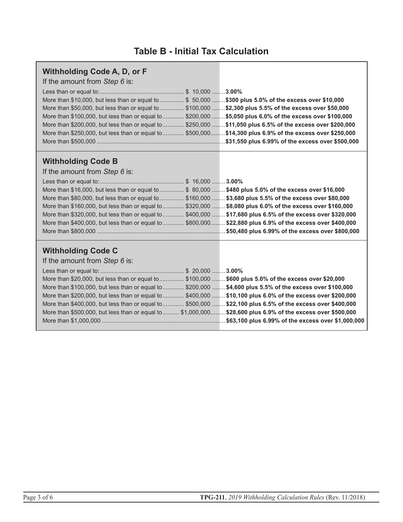### **Table B - Initial Tax Calculation**

| <b>Withholding Code A, D, or F</b><br>If the amount from Step 6 is:<br>More than \$10,000, but less than or equal to  \$ 50,000 \$300 plus 5.0% of the excess over \$10,000<br>More than \$50,000, but less than or equal to  \$100,000 \$2,300 plus 5.5% of the excess over \$50,000<br>More than \$100,000, but less than or equal to  \$200,000 \$5,050 plus 6.0% of the excess over \$100,000<br>More than \$200,000, but less than or equal to  \$250,000 \$11,050 plus 6.5% of the excess over \$200,000<br>More than \$250,000, but less than or equal to  \$500,000\$14,300 plus 6.9% of the excess over \$250,000 |  |
|----------------------------------------------------------------------------------------------------------------------------------------------------------------------------------------------------------------------------------------------------------------------------------------------------------------------------------------------------------------------------------------------------------------------------------------------------------------------------------------------------------------------------------------------------------------------------------------------------------------------------|--|
| <b>Withholding Code B</b><br>If the amount from Step 6 is:                                                                                                                                                                                                                                                                                                                                                                                                                                                                                                                                                                 |  |

| More than \$16,000, but less than or equal to  \$80,000  \$480 plus 5.0% of the excess over \$16,000       |  |
|------------------------------------------------------------------------------------------------------------|--|
| More than \$80,000, but less than or equal to  \$160,000  \$3,680 plus 5.5% of the excess over \$80,000    |  |
| More than \$160,000, but less than or equal to  \$320,000  \$8,080 plus 6.0% of the excess over \$160,000  |  |
| More than \$320,000, but less than or equal to  \$400,000  \$17,680 plus 6.5% of the excess over \$320,000 |  |
| More than \$400,000, but less than or equal to  \$800,000 \$22,880 plus 6.9% of the excess over \$400,000  |  |
|                                                                                                            |  |

# **Withholding Code C**

| If the amount from Step 6 is: |  |  |  |  |
|-------------------------------|--|--|--|--|
|-------------------------------|--|--|--|--|

| More than \$20,000, but less than or equal to  \$100,000  \$600 plus 5.0% of the excess over \$20,000       |  |
|-------------------------------------------------------------------------------------------------------------|--|
| More than \$100,000, but less than or equal to  \$200,000  \$4,600 plus 5.5% of the excess over \$100,000   |  |
| More than \$200,000, but less than or equal to  \$400,000  \$10,100 plus 6.0% of the excess over \$200,000  |  |
| More than \$400,000, but less than or equal to  \$500,000  \$22,100 plus 6.5% of the excess over \$400,000  |  |
| More than \$500,000, but less than or equal to  \$1,000,000 \$28,600 plus 6.9% of the excess over \$500,000 |  |
|                                                                                                             |  |
|                                                                                                             |  |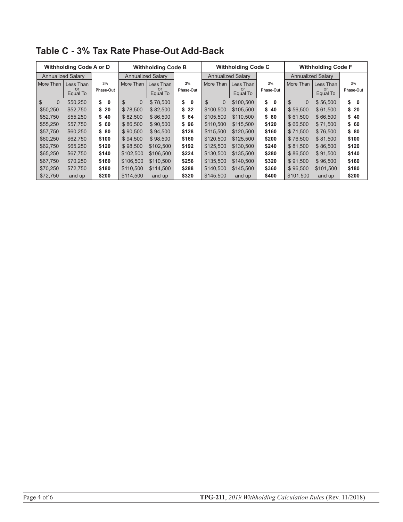| <b>Withholding Code A or D</b> |                             |                 | <b>Withholding Code B</b> |                             |                    | <b>Withholding Code C</b>  |                             |                    | <b>Withholding Code F</b> |                             |                    |
|--------------------------------|-----------------------------|-----------------|---------------------------|-----------------------------|--------------------|----------------------------|-----------------------------|--------------------|---------------------------|-----------------------------|--------------------|
|                                | <b>Annualized Salary</b>    |                 |                           | <b>Annualized Salary</b>    |                    |                            | <b>Annualized Salary</b>    |                    | <b>Annualized Salary</b>  |                             |                    |
| More Than                      | Less Than<br>or<br>Equal To | 3%<br>Phase-Out | More Than                 | Less Than<br>or<br>Equal To | 3%<br>Phase-Out    | More Than                  | Less Than<br>or<br>Equal To | 3%<br>Phase-Out    | More Than                 | Less Than<br>or<br>Equal To | 3%<br>Phase-Out    |
| $\mathbb{S}$<br>$\Omega$       | \$50,250                    | \$<br>0         | $\mathbb{S}$<br>$\Omega$  | \$78,500                    | \$<br>$\mathbf{0}$ | $\mathfrak{L}$<br>$\Omega$ | \$100,500                   | \$<br>$\mathbf{0}$ | $\mathbb{S}$<br>$\Omega$  | \$56,500                    | \$<br>$\mathbf{0}$ |
| \$50,250                       | \$52,750                    | \$20            | \$78.500                  | \$82,500                    | \$32               | \$100.500                  | \$105.500                   | \$40               | \$56.500                  | \$61,500                    | \$20               |
| \$52,750                       | \$55,250                    | \$40            | \$82,500                  | \$86,500                    | \$64               | \$105,500                  | \$110,500                   | \$ 80              | \$61,500                  | \$66,500                    | \$40               |
| \$55,250                       | \$57,750                    | \$60            | \$86,500                  | \$90,500                    | \$96               | \$110.500                  | \$115,500                   | \$120              | \$66.500                  | \$71,500                    | \$60               |
| \$57,750                       | \$60,250                    | \$80            | \$90,500                  | \$94,500                    | \$128              | \$115.500                  | \$120.500                   | \$160              | \$71.500                  | \$76,500                    | \$80               |
| \$60,250                       | \$62,750                    | \$100           | \$94.500                  | \$98,500                    | \$160              | \$120.500                  | \$125.500                   | \$200              | \$76.500                  | \$81,500                    | \$100              |
| \$62,750                       | \$65,250                    | \$120           | \$98,500                  | \$102,500                   | \$192              | \$125,500                  | \$130.500                   | \$240              | \$81,500                  | \$86,500                    | \$120              |
| \$65,250                       | \$67,750                    | \$140           | \$102,500                 | \$106,500                   | \$224              | \$130.500                  | \$135.500                   | \$280              | \$86,500                  | \$91,500                    | \$140              |
| \$67,750                       | \$70,250                    | \$160           | \$106.500                 | \$110.500                   | \$256              | \$135.500                  | \$140.500                   | \$320              | \$91.500                  | \$96,500                    | \$160              |
| \$70,250                       | \$72,750                    | \$180           | \$110.500                 | \$114,500                   | \$288              | \$140.500                  | \$145.500                   | \$360              | \$96.500                  | \$101,500                   | \$180              |
| \$72,750                       | and up                      | \$200           | \$114,500                 | and up                      | \$320              | \$145,500                  | and up                      | \$400              | \$101,500                 | and up                      | \$200              |

**Table C - 3% Tax Rate Phase-Out Add-Back**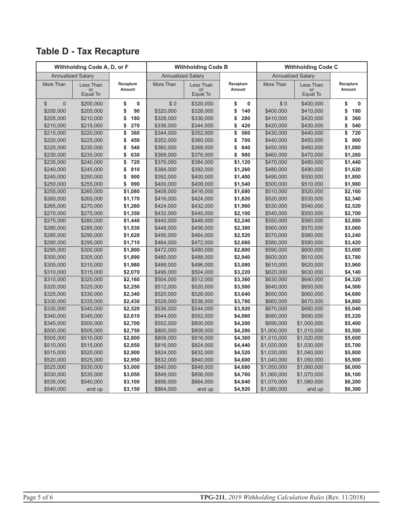|                                | Withholding Code A, D, or F |                    |                        | <b>Withholding Code B</b> |                    | <b>Withholding Code C</b>  |                            |                    |  |  |
|--------------------------------|-----------------------------|--------------------|------------------------|---------------------------|--------------------|----------------------------|----------------------------|--------------------|--|--|
|                                | <b>Annualized Salary</b>    |                    |                        | <b>Annualized Salary</b>  |                    |                            | <b>Annualized Salary</b>   |                    |  |  |
| More Than                      | Less Than                   | Recapture          | More Than              | Less Than                 | Recapture          | More Than                  | Less Than                  | Recapture          |  |  |
|                                | or<br>Equal To              | Amount             |                        | <b>or</b><br>Equal To     | Amount             |                            | or<br>Equal To             | Amount             |  |  |
| $\overline{0}$<br>$\mathbb{S}$ | \$200,000                   | \$<br>0            | \$0                    | \$320,000                 | \$<br>0            | \$0                        | \$400,000                  | \$<br>$\mathbf{0}$ |  |  |
| \$200,000                      | \$205,000                   | 90<br>\$           | \$320,000              | \$328,000                 | \$<br>140          | \$400,000                  | \$410,000                  | \$<br>180          |  |  |
| \$205,000                      | \$210,000                   | \$<br>180          | \$328,000              | \$336,000                 | \$<br>280          | \$410,000                  | \$420,000                  | \$<br>360          |  |  |
| \$210,000                      | \$215,000                   | \$<br>270          | \$336,000              | \$344,000                 | \$<br>420          | \$420,000                  | \$430,000                  | \$<br>540          |  |  |
| \$215,000                      | \$220,000                   | \$<br>360          | \$344,000              | \$352,000                 | \$<br>560          | \$430,000                  | \$440,000                  | \$<br>720          |  |  |
| \$220,000                      | \$225,000                   | 450<br>\$          | \$352,000              | \$360,000                 | 700<br>\$          | \$440,000                  | \$450,000                  | 900<br>\$          |  |  |
| \$225,000                      | \$230,000                   | \$<br>540          | \$360,000              | \$368,000                 | \$<br>840          | \$450,000                  | \$460,000                  | \$1,080            |  |  |
| \$230,000                      | \$235,000                   | \$<br>630          | \$368,000              | \$376,000                 | \$<br>980          | \$460,000                  | \$470,000                  | \$1,260            |  |  |
| \$235,000                      | \$240,000                   | \$<br>720          | \$376,000              | \$384,000                 | \$1,120            | \$470,000                  | \$480,000                  | \$1,440            |  |  |
| \$240,000                      | \$245,000                   | \$<br>810          | \$384,000              | \$392,000                 | \$1,260            | \$480,000                  | \$490,000                  | \$1,620            |  |  |
| \$245,000                      | \$250,000                   | \$<br>900          | \$392,000              | \$400,000                 | \$1,400            | \$490,000                  | \$500,000                  | \$1,800            |  |  |
| \$250,000                      | \$255,000                   | \$<br>990          | \$400,000              | \$408,000                 | \$1,540            | \$500,000                  | \$510,000                  | \$1,980            |  |  |
| \$255,000                      | \$260,000                   | \$1,080            | \$408,000              | \$416,000                 | \$1,680            | \$510,000                  | \$520,000                  | \$2,160            |  |  |
| \$260,000                      | \$265,000                   | \$1,170            | \$416,000              | \$424,000                 | \$1,820            | \$520,000                  | \$530,000                  | \$2,340            |  |  |
| \$265,000                      | \$270,000                   | \$1,260            | \$424,000              | \$432,000                 | \$1,960            | \$530,000                  | \$540,000                  | \$2,520            |  |  |
| \$270,000                      | \$275,000                   | \$1,350            | \$432,000              | \$440,000                 | \$2,100            | \$540,000                  | \$550,000                  | \$2,700            |  |  |
| \$275,000                      | \$280,000                   | \$1,440            | \$440,000              | \$448,000                 | \$2,240            | \$550,000                  | \$560,000                  | \$2,880            |  |  |
| \$280,000                      | \$285,000                   | \$1,530            | \$448,000              | \$456,000                 | \$2,380            | \$560,000                  | \$570,000                  | \$3,060            |  |  |
| \$285,000                      | \$290,000                   | \$1,620            | \$456,000              | \$464,000                 | \$2,520            | \$570,000                  | \$580,000                  | \$3,240            |  |  |
| \$290,000                      | \$295,000                   | \$1,710            | \$464,000              | \$472,000                 | \$2,660            | \$580,000                  | \$590,000                  | \$3,420            |  |  |
| \$295,000                      | \$300,000                   | \$1,800            | \$472,000              | \$480,000                 | \$2,800            | \$590,000                  | \$600,000                  | \$3,600            |  |  |
| \$300,000                      | \$305,000                   | \$1,890            | \$480,000              | \$488,000                 | \$2,940            | \$600,000                  | \$610,000                  | \$3,780            |  |  |
| \$305,000                      | \$310,000                   | \$1,980            | \$488,000              | \$496,000                 | \$3,080            | \$610,000                  | \$620,000                  | \$3,960            |  |  |
| \$310,000                      | \$315,000                   | \$2,070            | \$496,000              | \$504,000                 | \$3,220            | \$620,000                  | \$630,000                  | \$4,140            |  |  |
| \$315,000                      | \$320,000                   | \$2,160            | \$504,000              | \$512,000                 | \$3,360            | \$630,000                  | \$640,000                  | \$4,320            |  |  |
| \$320,000                      | \$325,000                   | \$2,250            | \$512,000              | \$520,000                 | \$3,500            | \$640,000                  | \$650,000                  | \$4,500            |  |  |
| \$325,000                      | \$330,000                   | \$2,340            | \$520,000              | \$528,000                 | \$3,640            | \$650,000                  | \$660,000                  | \$4,680            |  |  |
| \$330,000                      | \$335,000                   | \$2,430            | \$528,000              | \$536,000                 | \$3,780            | \$660,000                  | \$670,000                  | \$4,860            |  |  |
| \$335,000                      | \$340,000                   | \$2,520            | \$536,000              | \$544,000                 | \$3,920            | \$670,000                  | \$680,000                  | \$5,040            |  |  |
| \$340,000                      | \$345,000                   | \$2,610            | \$544,000              | \$552,000                 | \$4,060            | \$680,000                  | \$690,000                  | \$5,220            |  |  |
| \$345,000                      | \$500,000                   | \$2,700            | \$552,000              | \$800,000                 | \$4,200            | \$690,000                  | \$1,000,000                | \$5,400            |  |  |
| \$500,000                      | \$505,000                   | \$2,750            | \$800,000              | \$808,000                 | \$4,280            | \$1,000,000                | \$1,010,000                | \$5,500            |  |  |
| \$505,000                      | \$510,000                   | \$2,800            | \$808,000              | \$816,000                 | \$4,360            | \$1,010,000                | \$1,020,000                | \$5,600            |  |  |
| \$510,000                      | \$515,000                   | \$2,850            | \$816,000              | \$824,000                 | \$4,440            | \$1,020,000                | \$1,030,000                | \$5,700            |  |  |
| \$515,000                      | \$520,000                   | \$2,900            | \$824,000              | \$832,000                 | \$4,520            | \$1,030,000                | \$1,040,000                | \$5,800            |  |  |
| \$520,000                      | \$525,000                   | \$2,950            | \$832,000              | \$840,000                 | \$4,600            | \$1,040,000                | \$1,050,000                | \$5,900            |  |  |
| \$525,000                      | \$530,000                   | \$3,000            | \$840,000              | \$848,000                 | \$4,680            | \$1,050,000                | \$1,060,000                | \$6,000            |  |  |
| \$530,000<br>\$535,000         | \$535,000<br>\$540,000      | \$3,050<br>\$3,100 | \$848,000<br>\$856,000 | \$856,000<br>\$864,000    | \$4,760<br>\$4,840 | \$1,060,000<br>\$1,070,000 | \$1,070,000<br>\$1,080,000 | \$6,100<br>\$6,200 |  |  |
|                                |                             |                    |                        |                           |                    |                            |                            |                    |  |  |
| \$540,000                      | and up                      | \$3,150            | \$864,000              | and up                    | \$4,920            | \$1,080,000                | and up                     | \$6,300            |  |  |

# **Table D - Tax Recapture**